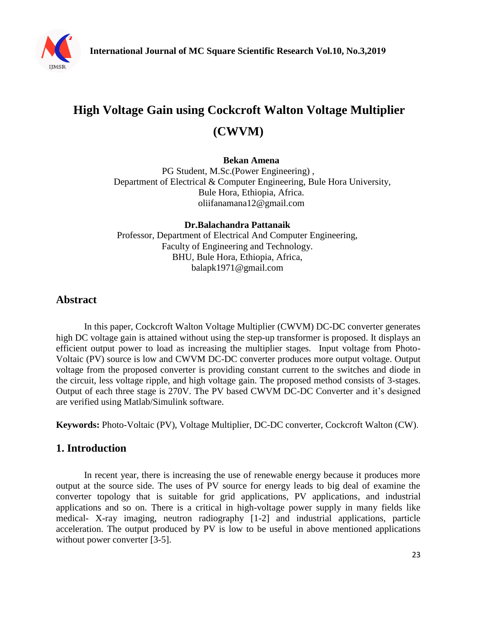

# **High Voltage Gain using Cockcroft Walton Voltage Multiplier (CWVM)**

#### **Bekan Amena**

PG Student, M.Sc.(Power Engineering) , Department of Electrical & Computer Engineering, Bule Hora University, Bule Hora, Ethiopia, Africa. [oliifanamana12@gmail.com](mailto:oliifanamana12@gmail.com)

**Dr.Balachandra Pattanaik** Professor, Department of Electrical And Computer Engineering, Faculty of Engineering and Technology. BHU, Bule Hora, Ethiopia, Africa, balapk1971@gmail.com

# **Abstract**

In this paper, Cockcroft Walton Voltage Multiplier (CWVM) DC-DC converter generates high DC voltage gain is attained without using the step-up transformer is proposed. It displays an efficient output power to load as increasing the multiplier stages. Input voltage from Photo-Voltaic (PV) source is low and CWVM DC-DC converter produces more output voltage. Output voltage from the proposed converter is providing constant current to the switches and diode in the circuit, less voltage ripple, and high voltage gain. The proposed method consists of 3-stages. Output of each three stage is 270V. The PV based CWVM DC-DC Converter and it's designed are verified using Matlab/Simulink software.

**Keywords:** Photo-Voltaic (PV), Voltage Multiplier, DC-DC converter, Cockcroft Walton (CW).

# **1. Introduction**

In recent year, there is increasing the use of renewable energy because it produces more output at the source side. The uses of PV source for energy leads to big deal of examine the converter topology that is suitable for grid applications, PV applications, and industrial applications and so on. There is a critical in high-voltage power supply in many fields like medical- X-ray imaging, neutron radiography [1-2] and industrial applications, particle acceleration. The output produced by PV is low to be useful in above mentioned applications without power converter [3-5].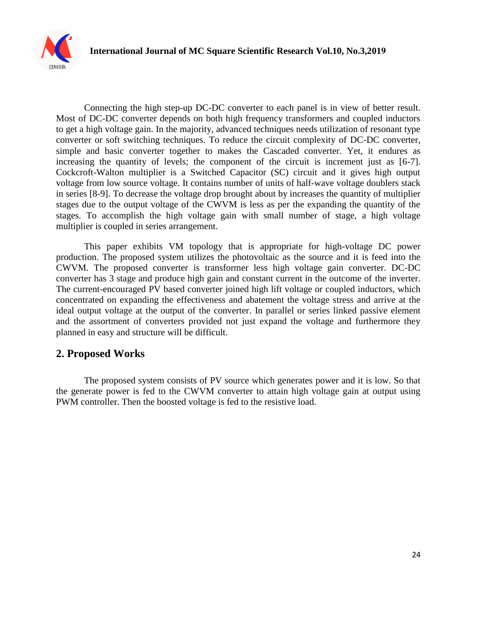

Connecting the high step-up DC-DC converter to each panel is in view of better result. Most of DC-DC converter depends on both high frequency transformers and coupled inductors to get a high voltage gain. In the majority, advanced techniques needs utilization of resonant type converter or soft switching techniques. To reduce the circuit complexity of DC-DC converter, simple and basic converter together to makes the Cascaded converter. Yet, it endures as increasing the quantity of levels; the component of the circuit is increment just as [6-7]. Cockcroft-Walton multiplier is a Switched Capacitor (SC) circuit and it gives high output voltage from low source voltage. It contains number of units of half-wave voltage doublers stack in series [8-9]. To decrease the voltage drop brought about by increases the quantity of multiplier stages due to the output voltage of the CWVM is less as per the expanding the quantity of the stages. To accomplish the high voltage gain with small number of stage, a high voltage multiplier is coupled in series arrangement.

This paper exhibits VM topology that is appropriate for high-voltage DC power production. The proposed system utilizes the photovoltaic as the source and it is feed into the CWVM. The proposed converter is transformer less high voltage gain converter. DC-DC converter has 3 stage and produce high gain and constant current in the outcome of the inverter. The current-encouraged PV based converter joined high lift voltage or coupled inductors, which concentrated on expanding the effectiveness and abatement the voltage stress and arrive at the ideal output voltage at the output of the converter. In parallel or series linked passive element and the assortment of converters provided not just expand the voltage and furthermore they planned in easy and structure will be difficult.

# **2. Proposed Works**

The proposed system consists of PV source which generates power and it is low. So that the generate power is fed to the CWVM converter to attain high voltage gain at output using PWM controller. Then the boosted voltage is fed to the resistive load.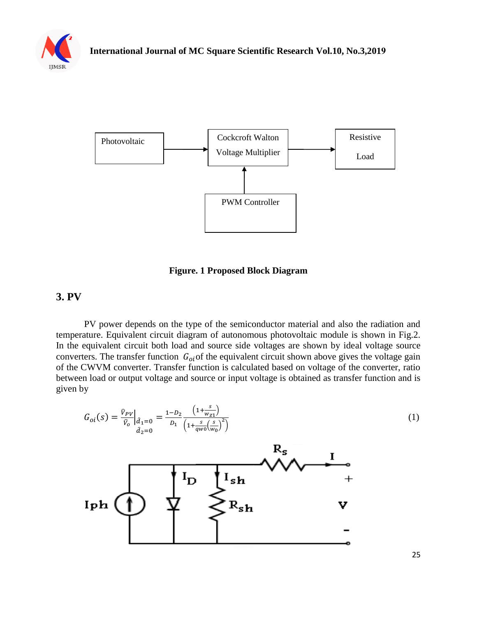



**Figure. 1 Proposed Block Diagram** 

# **3. PV**

PV power depends on the type of the semiconductor material and also the radiation and temperature. Equivalent circuit diagram of autonomous photovoltaic module is shown in Fig.2. In the equivalent circuit both load and source side voltages are shown by ideal voltage source converters. The transfer function  $G_{oi}$  of the equivalent circuit shown above gives the voltage gain of the CWVM converter. Transfer function is calculated based on voltage of the converter, ratio between load or output voltage and source or input voltage is obtained as transfer function and is given by

$$
G_{oi}(s) = \frac{\hat{v}_{pv}}{\hat{v}_{o}}|_{\hat{d}_{1}=0} = \frac{1-D_{2}}{D_{1}} \frac{\left(1+\frac{s}{w_{z1}}\right)}{\left(1+\frac{s}{q_{w0}}\left(\frac{s}{w_{o}}\right)^{2}\right)}
$$
\n
$$
I_{\mathbf{D}} \longrightarrow \mathbf{R_{s}}
$$
\n
$$
I_{\mathbf{p}} \longrightarrow \mathbf{R_{t}}
$$
\n
$$
I_{\mathbf{p}} \longrightarrow \mathbf{R_{t}}
$$
\n
$$
I_{\mathbf{p}} \longrightarrow \mathbf{R_{t}}
$$
\n
$$
I_{\mathbf{p}} \longrightarrow \mathbf{R_{t}}
$$
\n
$$
I_{\mathbf{p}} \longrightarrow \mathbf{R_{t}}
$$
\n
$$
I_{\mathbf{p}} \longrightarrow \mathbf{R_{t}}
$$
\n
$$
I_{\mathbf{p}} \longrightarrow \mathbf{R_{t}}
$$
\n
$$
I_{\mathbf{p}} \longrightarrow \mathbf{R_{t}}
$$
\n
$$
I_{\mathbf{p}} \longrightarrow \mathbf{R_{t}}
$$
\n
$$
I_{\mathbf{p}} \longrightarrow \mathbf{R_{t}}
$$
\n
$$
I_{\mathbf{p}} \longrightarrow \mathbf{R_{t}}
$$
\n
$$
I_{\mathbf{p}} \longrightarrow \mathbf{R_{t}}
$$
\n
$$
I_{\mathbf{p}} \longrightarrow \mathbf{R_{t}}
$$
\n
$$
I_{\mathbf{p}} \longrightarrow \mathbf{R_{t}}
$$
\n
$$
I_{\mathbf{p}} \longrightarrow \mathbf{R_{t}}
$$
\n
$$
I_{\mathbf{p}} \longrightarrow \mathbf{R_{t}}
$$
\n
$$
I_{\mathbf{p}} \longrightarrow \mathbf{R_{t}}
$$
\n
$$
I_{\mathbf{p}} \longrightarrow \mathbf{R_{t}}
$$
\n
$$
I_{\mathbf{p}} \longrightarrow \mathbf{R_{t}}
$$
\n
$$
I_{\mathbf{p}} \longrightarrow \mathbf{R_{t}}
$$
\n
$$
I_{\mathbf{p}} \longrightarrow \mathbf{R_{t}}
$$
\n
$$
I_{\mathbf{p}} \longrightarrow \mathbf{R_{t}}
$$
\n
$$
I_{\mathbf{p}} \longrightarrow \mathbf{R_{t}}
$$
\n
$$
I_{\mathbf
$$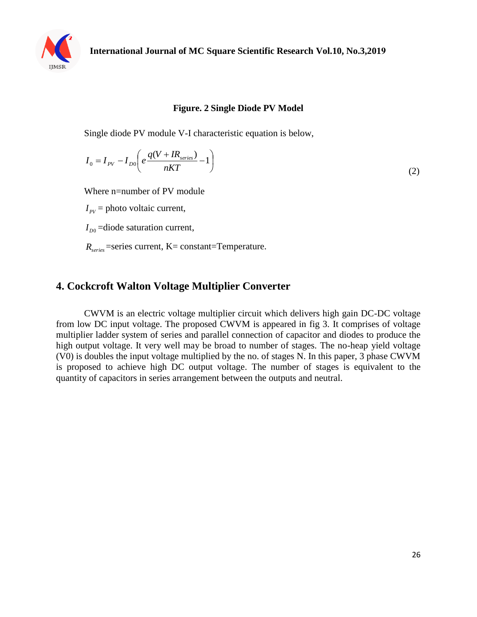

#### **Figure. 2 Single Diode PV Model**

Single diode PV module V-I characteristic equation is below,

$$
I_0 = I_{PV} - I_{D0} \left( e \frac{q(V + IR_{series})}{nKT} - 1 \right)
$$
\n
$$
\tag{2}
$$

Where n=number of PV module

 $I_{\text{PV}}$  = photo voltaic current,

 $I_{D0}$  =diode saturation current,

*Rseries* =series current, K= constant=Temperature.

# **4. Cockcroft Walton Voltage Multiplier Converter**

CWVM is an electric voltage multiplier circuit which delivers high gain DC-DC voltage from low DC input voltage. The proposed CWVM is appeared in fig 3. It comprises of voltage multiplier ladder system of series and parallel connection of capacitor and diodes to produce the high output voltage. It very well may be broad to number of stages. The no-heap yield voltage (V0) is doubles the input voltage multiplied by the no. of stages N. In this paper, 3 phase CWVM is proposed to achieve high DC output voltage. The number of stages is equivalent to the quantity of capacitors in series arrangement between the outputs and neutral.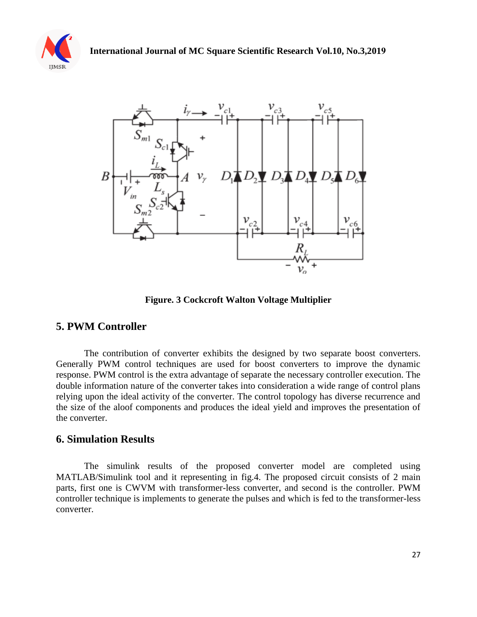



**Figure. 3 Cockcroft Walton Voltage Multiplier**

# **5. PWM Controller**

The contribution of converter exhibits the designed by two separate boost converters. Generally PWM control techniques are used for boost converters to improve the dynamic response. PWM control is the extra advantage of separate the necessary controller execution. The double information nature of the converter takes into consideration a wide range of control plans relying upon the ideal activity of the converter. The control topology has diverse recurrence and the size of the aloof components and produces the ideal yield and improves the presentation of the converter.

#### **6. Simulation Results**

The simulink results of the proposed converter model are completed using MATLAB/Simulink tool and it representing in fig.4. The proposed circuit consists of 2 main parts, first one is CWVM with transformer-less converter, and second is the controller. PWM controller technique is implements to generate the pulses and which is fed to the transformer-less converter.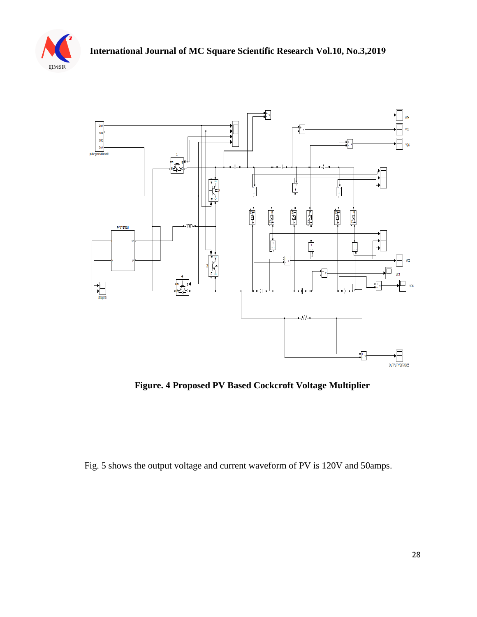



**Figure. 4 Proposed PV Based Cockcroft Voltage Multiplier**

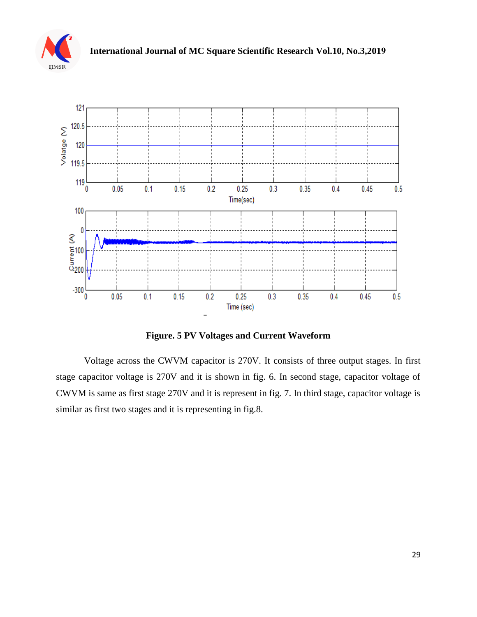



**Figure. 5 PV Voltages and Current Waveform**

Voltage across the CWVM capacitor is 270V. It consists of three output stages. In first stage capacitor voltage is 270V and it is shown in fig. 6. In second stage, capacitor voltage of CWVM is same as first stage 270V and it is represent in fig. 7. In third stage, capacitor voltage is similar as first two stages and it is representing in fig.8.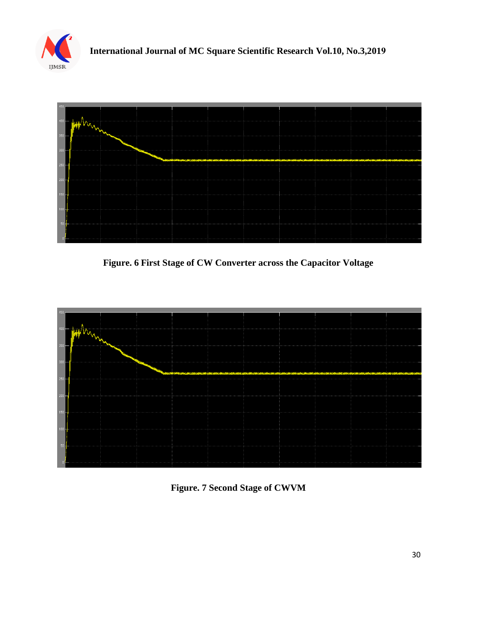



**Figure. 6 First Stage of CW Converter across the Capacitor Voltage**



**Figure. 7 Second Stage of CWVM**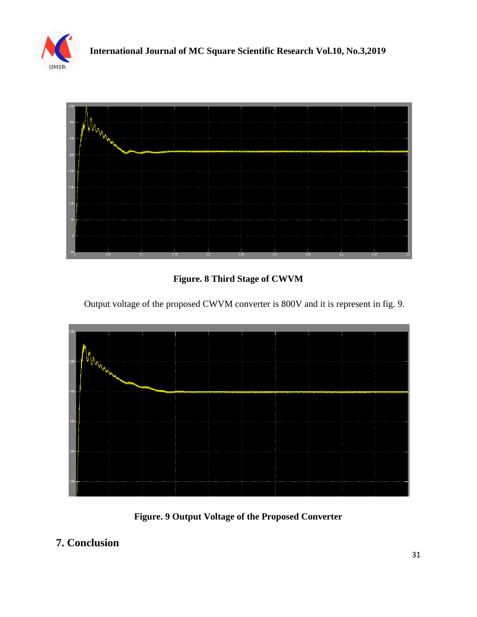



**Figure. 8 Third Stage of CWVM**

Output voltage of the proposed CWVM converter is 800V and it is represent in fig. 9.





# **7. Conclusion**